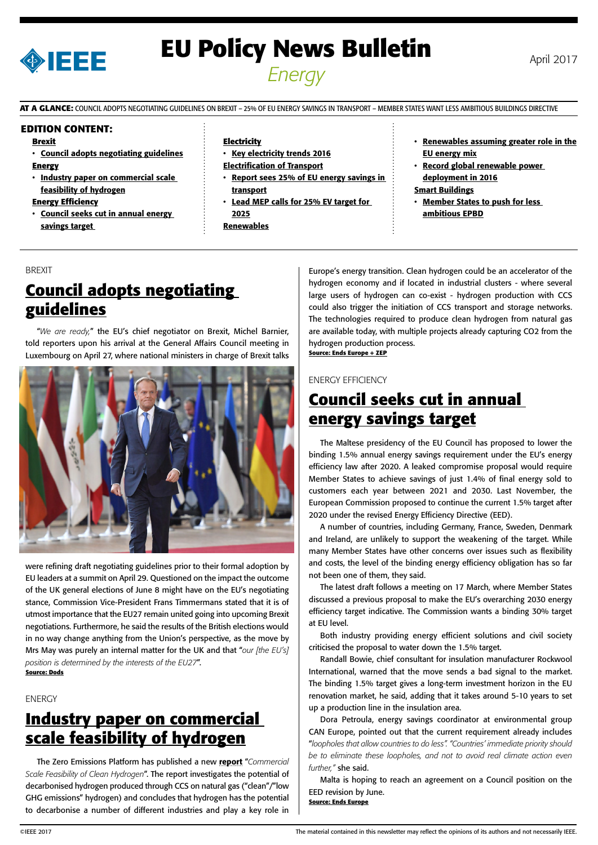

# **EU Policy News Bulletin** April 2017 *Energy*

**AT A GLANCE:** COUNCIL ADOPTS NEGOTIATING GUIDELINES ON BREXIT – 25% OF EU ENERGY SAVINGS IN TRANSPORT – MEMBER STATES WANT LESS AMBITIOUS BUILDINGS DIRECTIVE

#### **EDITION CONTENT:**

#### **Brexit**

- Council adopts negotiating guidelines **Energy**
- Industry paper on commercial scale feasibility of hydrogen

#### **Energy Efficiency**

• Council seeks cut in annual energy savings target

#### **Electricity**

- [Key electricity trends 2016](#page-1-0) [Electrification of Transport](#page-1-0)
- [Report sees 25% of EU energy savings in](#page-1-0)  [transport](#page-1-0)
- Lead MEP calls for 25% EV target for [2025](#page-1-0)
- **[Renewables](#page-1-0)**
- [Renewables assuming greater role in the](#page-1-0) [EU ene](#page-1-0)rgy mix
	- [Record global renewable power](#page-2-0)  [deployment in 2016](#page-2-0)

[Smart Buildings](#page-2-0)

**Member States to push for less** [ambitious EPBD](#page-2-0)

#### BREXIT

# **Council adopts negotiating guidelines**

"*We are ready,*" the EU's chief negotiator on Brexit, Michel Barnier, told reporters upon his arrival at the General Affairs Council meeting in Luxembourg on April 27, where national ministers in charge of Brexit talks



were refining draft negotiating guidelines prior to their formal adoption by EU leaders at a summit on April 29. Questioned on the impact the outcome of the UK general elections of June 8 might have on the EU's negotiating stance, Commission Vice-President Frans Timmermans stated that it is of utmost importance that the EU27 remain united going into upcoming Brexit negotiations. Furthermore, he said the results of the British elections would in no way change anything from the Union's perspective, as the move by Mrs May was purely an internal matter for the UK and that "*our [the EU's] position is determined by the interests of the EU27*". **Source: Dods**

### **ENERGY**

### **Industry paper on commercial scale feasibility of hydrogen**

The Zero Emissions Platform has published a new [report](http://www.zeroemissionsplatform.eu/library/publication/272-cleanhydrogen.html) "*Commercial Scale Feasibility of Clean Hydrogen*". The report investigates the potential of decarbonised hydrogen produced through CCS on natural gas ("clean"/"low GHG emissions" hydrogen) and concludes that hydrogen has the potential to decarbonise a number of different industries and play a key role in Europe's energy transition. Clean hydrogen could be an accelerator of the hydrogen economy and if located in industrial clusters - where several large users of hydrogen can co-exist - hydrogen production with CCS could also trigger the initiation of CCS transport and storage networks. The technologies required to produce clean hydrogen from natural gas are available today, with multiple projects already capturing CO2 from the hydrogen production process. **Source: Ends Europe + ZEP**

#### ENERGY EFFICIENCY

### **Council seeks cut in annual energy savings target**

The Maltese presidency of the EU Council has proposed to lower the binding 1.5% annual energy savings requirement under the EU's energy efficiency law after 2020. A leaked compromise proposal would require Member States to achieve savings of just 1.4% of final energy sold to customers each year between 2021 and 2030. Last November, the European Commission proposed to continue the current 1.5% target after 2020 under the revised Energy Efficiency Directive (EED).

A number of countries, including Germany, France, Sweden, Denmark and Ireland, are unlikely to support the weakening of the target. While many Member States have other concerns over issues such as flexibility and costs, the level of the binding energy efficiency obligation has so far not been one of them, they said.

The latest draft follows a meeting on 17 March, where Member States discussed a previous proposal to make the EU's overarching 2030 energy efficiency target indicative. The Commission wants a binding 30% target at EU level.

Both industry providing energy efficient solutions and civil society criticised the proposal to water down the 1.5% target.

Randall Bowie, chief consultant for insulation manufacturer Rockwool International, warned that the move sends a bad signal to the market. The binding 1.5% target gives a long-term investment horizon in the EU renovation market, he said, adding that it takes around 5-10 years to set up a production line in the insulation area.

Dora Petroula, energy savings coordinator at environmental group CAN Europe, pointed out that the current requirement already includes "*loopholes that allow countries to do less". "Countries' immediate priority should be to eliminate these loopholes, and not to avoid real climate action even further,"* she said.

Malta is hoping to reach an agreement on a Council position on the EED revision by June. **Source: Ends Europe**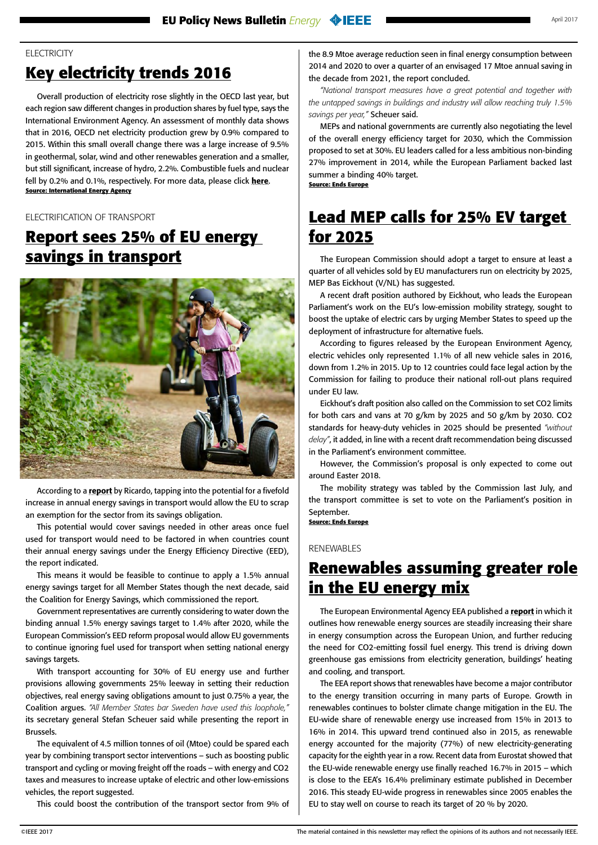### <span id="page-1-0"></span>**ELECTRICITY**

# **Key electricity trends 2016**

Overall production of electricity rose slightly in the OECD last year, but each region saw different changes in production shares by fuel type, says the International Environment Agency. An assessment of monthly data shows that in 2016, OECD net electricity production grew by 0.9% compared to 2015. Within this small overall change there was a large increase of 9.5% in geothermal, solar, wind and other renewables generation and a smaller, but still significant, increase of hydro, 2.2%. Combustible fuels and nuclear fell by 0.2% and 0.1%, respectively. For more data, please click [here](http://www.iea.org/newsroom/news/2017/april/statistics-key-electricity-trends-2016.html). **Source: International Energy Agency**

### ELECTRIFICATION OF TRANSPORT

### **Report sees 25% of EU energy savings in transport**



According to a [report](http://energycoalition.eu/sites/default/files/20170425%20Ricardo%20Energy%20%26%20Environment%20Study%20-%20National%20policies%20Transport%20Article%207%20EED.pdf) by Ricardo, tapping into the potential for a fivefold increase in annual energy savings in transport would allow the EU to scrap an exemption for the sector from its savings obligation.

This potential would cover savings needed in other areas once fuel used for transport would need to be factored in when countries count their annual energy savings under the Energy Efficiency Directive (EED), the report indicated.

This means it would be feasible to continue to apply a 1.5% annual energy savings target for all Member States though the next decade, said the Coalition for Energy Savings, which commissioned the report.

Government representatives are currently considering to water down the binding annual 1.5% energy savings target to 1.4% after 2020, while the European Commission's EED reform proposal would allow EU governments to continue ignoring fuel used for transport when setting national energy savings targets.

With transport accounting for 30% of EU energy use and further provisions allowing governments 25% leeway in setting their reduction objectives, real energy saving obligations amount to just 0.75% a year, the Coalition argues. *"All Member States bar Sweden have used this loophole,"* its secretary general Stefan Scheuer said while presenting the report in Brussels.

The equivalent of 4.5 million tonnes of oil (Mtoe) could be spared each year by combining transport sector interventions – such as boosting public transport and cycling or moving freight off the roads – with energy and CO2 taxes and measures to increase uptake of electric and other low-emissions vehicles, the report suggested.

This could boost the contribution of the transport sector from 9% of

the 8.9 Mtoe average reduction seen in final energy consumption between 2014 and 2020 to over a quarter of an envisaged 17 Mtoe annual saving in the decade from 2021, the report concluded.

*"National transport measures have a great potential and together with the untapped savings in buildings and industry will allow reaching truly 1.5% savings per year,"* Scheuer said.

MEPs and national governments are currently also negotiating the level of the overall energy efficiency target for 2030, which the Commission proposed to set at 30%. EU leaders called for a less ambitious non-binding 27% improvement in 2014, while the European Parliament backed last summer a binding 40% target. **Source: Ends Europe**

**Lead MEP calls for 25% EV target for 2025**

The European Commission should adopt a target to ensure at least a quarter of all vehicles sold by EU manufacturers run on electricity by 2025, MEP Bas Eickhout (V/NL) has suggested.

A recent draft position authored by Eickhout, who leads the European Parliament's work on the EU's low-emission mobility strategy, sought to boost the uptake of electric cars by urging Member States to speed up the deployment of infrastructure for alternative fuels.

According to figures released by the European Environment Agency, electric vehicles only represented 1.1% of all new vehicle sales in 2016, down from 1.2% in 2015. Up to 12 countries could face legal action by the Commission for failing to produce their national roll-out plans required under EU law.

Eickhout's draft position also called on the Commission to set CO2 limits for both cars and vans at 70 g/km by 2025 and 50 g/km by 2030. CO2 standards for heavy-duty vehicles in 2025 should be presented *"without delay"*, it added, in line with a recent draft recommendation being discussed in the Parliament's environment committee.

However, the Commission's proposal is only expected to come out around Easter 2018.

The mobility strategy was tabled by the Commission last July, and the transport committee is set to vote on the Parliament's position in September.

**Source: Ends Europe**

### RENEWABLES

### **Renewables assuming greater role in the EU energy mix**

The European Environmental Agency EEA published a [report](http://www.eea.europa.eu/publications/renewable-energy-in-europe-2017) in which it outlines how renewable energy sources are steadily increasing their share in energy consumption across the European Union, and further reducing the need for CO2-emitting fossil fuel energy. This trend is driving down greenhouse gas emissions from electricity generation, buildings' heating and cooling, and transport.

The EEA report shows that renewables have become a major contributor to the energy transition occurring in many parts of Europe. Growth in renewables continues to bolster climate change mitigation in the EU. The EU-wide share of renewable energy use increased from 15% in 2013 to 16% in 2014. This upward trend continued also in 2015, as renewable energy accounted for the majority (77%) of new electricity-generating capacity for the eighth year in a row. Recent data from Eurostat showed that the EU-wide renewable energy use finally reached 16.7% in 2015 – which is close to the EEA's 16.4% preliminary estimate published in December 2016. This steady EU-wide progress in renewables since 2005 enables the EU to stay well on course to reach its target of 20 % by 2020.